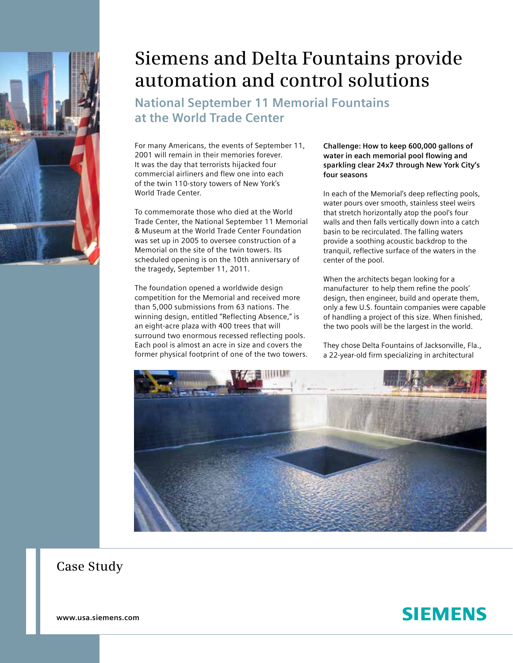

## **Siemens and Delta Fountains provide automation and control solutions**

**National September 11 Memorial Fountains at the World Trade Center**

For many Americans, the events of September 11, 2001 will remain in their memories forever. It was the day that terrorists hijacked four commercial airliners and flew one into each of the twin 110-story towers of New York's World Trade Center.

To commemorate those who died at the World Trade Center, the National September 11 Memorial & Museum at the World Trade Center Foundation was set up in 2005 to oversee construction of a Memorial on the site of the twin towers. Its scheduled opening is on the 10th anniversary of the tragedy, September 11, 2011.

The foundation opened a worldwide design competition for the Memorial and received more than 5,000 submissions from 63 nations. The winning design, entitled "Reflecting Absence," is an eight-acre plaza with 400 trees that will surround two enormous recessed reflecting pools. Each pool is almost an acre in size and covers the former physical footprint of one of the two towers. **Challenge: How to keep 600,000 gallons of water in each memorial pool flowing and sparkling clear 24x7 through New York City's four seasons** 

In each of the Memorial's deep reflecting pools, water pours over smooth, stainless steel weirs that stretch horizontally atop the pool's four walls and then falls vertically down into a catch basin to be recirculated. The falling waters provide a soothing acoustic backdrop to the tranquil, reflective surface of the waters in the center of the pool.

When the architects began looking for a manufacturer to help them refine the pools' design, then engineer, build and operate them, only a few U.S. fountain companies were capable of handling a project of this size. When finished, the two pools will be the largest in the world.

They chose Delta Fountains of Jacksonville, Fla., a 22-year-old firm specializing in architectural



**Case Study**

**SIEMENS** 

**www.usa.siemens.com**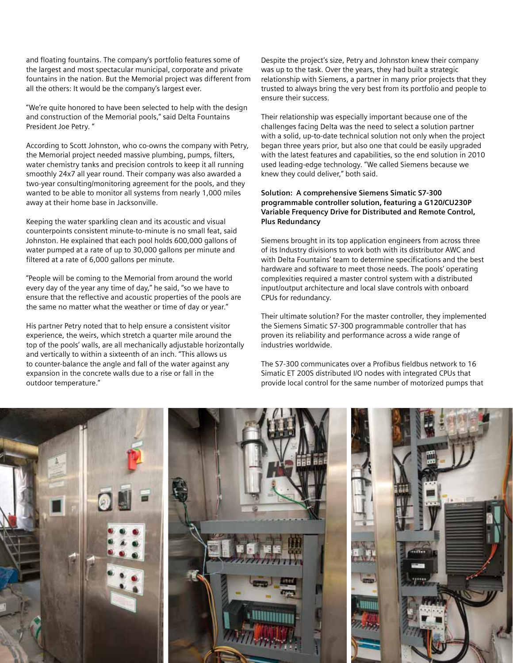and floating fountains. The company's portfolio features some of the largest and most spectacular municipal, corporate and private fountains in the nation. But the Memorial project was different from all the others: It would be the company's largest ever.

"We're quite honored to have been selected to help with the design and construction of the Memorial pools," said Delta Fountains President Joe Petry. "

According to Scott Johnston, who co-owns the company with Petry, the Memorial project needed massive plumbing, pumps, filters, water chemistry tanks and precision controls to keep it all running smoothly 24x7 all year round. Their company was also awarded a two-year consulting/monitoring agreement for the pools, and they wanted to be able to monitor all systems from nearly 1,000 miles away at their home base in Jacksonville.

Keeping the water sparkling clean and its acoustic and visual counterpoints consistent minute-to-minute is no small feat, said Johnston. He explained that each pool holds 600,000 gallons of water pumped at a rate of up to 30,000 gallons per minute and filtered at a rate of 6,000 gallons per minute.

"People will be coming to the Memorial from around the world every day of the year any time of day," he said, "so we have to ensure that the reflective and acoustic properties of the pools are the same no matter what the weather or time of day or year."

His partner Petry noted that to help ensure a consistent visitor experience, the weirs, which stretch a quarter mile around the top of the pools' walls, are all mechanically adjustable horizontally and vertically to within a sixteenth of an inch. "This allows us to counter-balance the angle and fall of the water against any expansion in the concrete walls due to a rise or fall in the outdoor temperature."

Despite the project's size, Petry and Johnston knew their company was up to the task. Over the years, they had built a strategic relationship with Siemens, a partner in many prior projects that they trusted to always bring the very best from its portfolio and people to ensure their success.

Their relationship was especially important because one of the challenges facing Delta was the need to select a solution partner with a solid, up-to-date technical solution not only when the project began three years prior, but also one that could be easily upgraded with the latest features and capabilities, so the end solution in 2010 used leading-edge technology. "We called Siemens because we knew they could deliver," both said.

## **Solution: A comprehensive Siemens Simatic S7-300 programmable controller solution, featuring a G120/CU230P Variable Frequency Drive for Distributed and Remote Control, Plus Redundancy**

Siemens brought in its top application engineers from across three of its Industry divisions to work both with its distributor AWC and with Delta Fountains' team to determine specifications and the best hardware and software to meet those needs. The pools' operating complexities required a master control system with a distributed input/output architecture and local slave controls with onboard CPUs for redundancy.

Their ultimate solution? For the master controller, they implemented the Siemens Simatic S7-300 programmable controller that has proven its reliability and performance across a wide range of industries worldwide.

The S7-300 communicates over a Profibus fieldbus network to 16 Simatic ET 200S distributed I/O nodes with integrated CPUs that provide local control for the same number of motorized pumps that

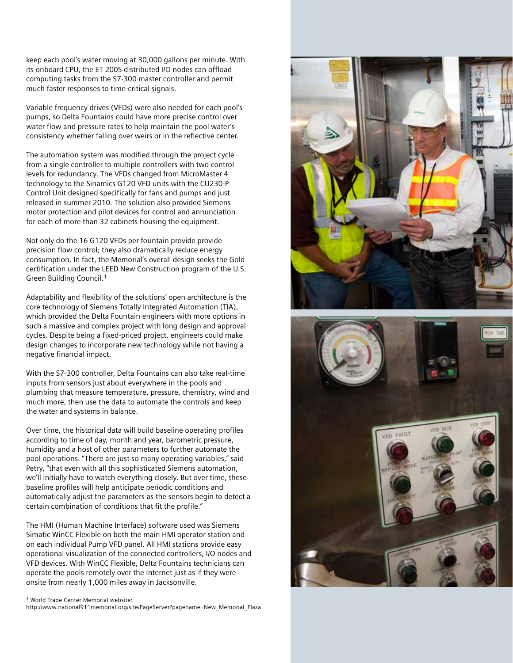keep each pool's water moving at 30,000 gallons per minute. With its onboard CPU, the ET 200S distributed I/O nodes can offload computing tasks from the S7-300 master controller and permit much faster responses to time-critical signals.

Variable frequency drives (VFDs) were also needed for each pool's pumps, so Delta Fountains could have more precise control over water flow and pressure rates to help maintain the pool water's consistency whether falling over weirs or in the reflective center.

The automation system was modified through the project cycle from a single controller to multiple controllers with two control levels for redundancy. The VFDs changed from MicroMaster 4 technology to the Sinamics G120 VFD units with the CU230-P Control Unit designed specifically for fans and pumps and just released in summer 2010. The solution also provided Siemens motor protection and pilot devices for control and annunciation for each of more than 32 cabinets housing the equipment.

Not only do the 16 G120 VFDs per fountain provide provide precision flow control; they also dramatically reduce energy consumption. In fact, the Memorial's overall design seeks the Gold certification under the LEED New Construction program of the U.S. Green Building Council.1

Adaptability and flexibility of the solutions' open architecture is the core technology of Siemens Totally Integrated Automation (TIA), which provided the Delta Fountain engineers with more options in such a massive and complex project with long design and approval cycles. Despite being a fixed-priced project, engineers could make design changes to incorporate new technology while not having a negative financial impact.

With the S7-300 controller, Delta Fountains can also take real-time inputs from sensors just about everywhere in the pools and plumbing that measure temperature, pressure, chemistry, wind and much more, then use the data to automate the controls and keep the water and systems in balance.

Over time, the historical data will build baseline operating profiles according to time of day, month and year, barometric pressure, humidity and a host of other parameters to further automate the pool operations. "There are just so many operating variables," said Petry, "that even with all this sophisticated Siemens automation, we'll initially have to watch everything closely. But over time, these baseline profiles will help anticipate periodic conditions and automatically adjust the parameters as the sensors begin to detect a certain combination of conditions that fit the profile."

The HMI (Human Machine Interface) software used was Siemens Simatic WinCC Flexible on both the main HMI operator station and on each individual Pump VFD panel. All HMI stations provide easy operational visualization of the connected controllers, I/O nodes and VFD devices. With WinCC Flexible, Delta Fountains technicians can operate the pools remotely over the Internet just as if they were onsite from nearly 1,000 miles away in Jacksonville.

1 World Trade Center Memorial website:

http://www.national911memorial.org/site/PageServer?pagename=New\_Memorial\_Plaza